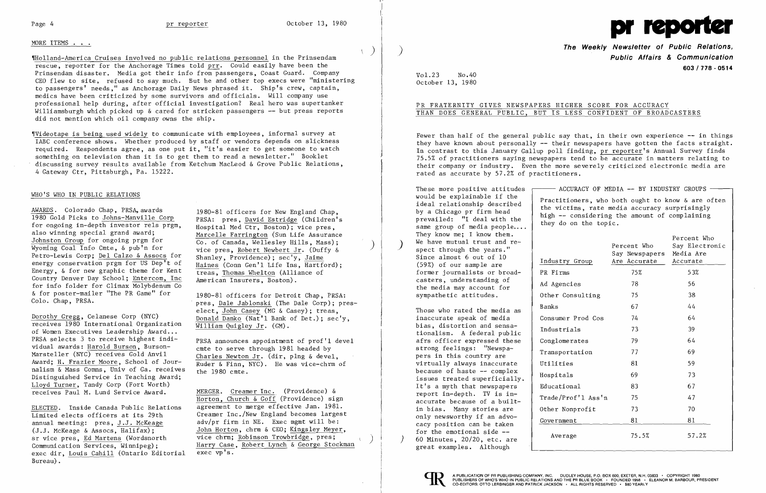# MORE ITEMS . . .

'~olland-America Cruises involved no public relations personnel in the Prinsendam rescue, reporter for the Anchorage Times told prr. Could easily have been the Prinsendam disaster. Media got their info from passengers, Coast Guard. Company CEO flew to site, refused to say much. But he and other top execs were "ministering to passengers' needs," as Anchorage Daily News phrased it. Ship's crew, captain, medics have been criticized by some survivors and officials. Will company use professional help during, after official investigation? Real hero was supertanker Williamsburgh which picked up & cared for stricken passengers -- but press reports did not mention which oil company owns the ship.

'IVideotape is being used widely to communicate with employees, informal survey at IABC conference shows. Whether produced by staff or vendors depends on slickness required. Respondents agree, as one put it, "it's easier to get someone to watch something on television than it is to get them to read a newsletter." Booklet discussing survey results available from Ketchum MacLeod & Grove Public Relations, 4 Gateway Ctr, Pittsburgh, Pa. 15222.

> pres, Dale Jablonski (The Dale Corp); preselect, John Casey (MG & Casey); treas,

PRSA selects 3 to receive highest indi-<br>vidual awards: <u>Harold Burson</u>, Burson-<br>cmte to serve through 1981 headed by

## WHO'S WHO IN PUBLIC RELATIONS

AWARDS. Colorado Chap, PRSA, awards<br>1980 Gold Picks to Johns-Manville Corp PRSA: pres, <u>David Estridge</u> (Children's<br>for ongoing in-depth investor rels prgm, Hospital Med Ctr, Boston); vice pres,<br>also winning special grand diso winning special grand award;<br>Johnston Group for ongoing prgm for<br>Wyoming Coal Info Cmte, & pub n for vice pres, Robert Newbert Jr. (Duffy &<br>Petro-Lewis Corp; <u>Del Calzo & Assocs</u> for Shanley, Providence); sec'y, Jaime Petro-Lewis Corp; Del Calzo & Assocs for<br>energy conservation prgm for US Dep't of Haines (Conn Gen'l Life Ins, Hartford); energy conservation prgm for US Dep't of  $\frac{\text{Haines}}{\text{trees}}$  (Conn Gen'l Life Ins, Hartford);  $\frac{\text{Hains}}{\text{trees}}$ Energy, & for new graphic theme for Kent treas, Thomas Whelton (Allian Country Denver Day School; Entercom, Inc American Insurers, Boston). for info folder for Climax Molybdenum Co<br>& for poster-mailer "The PR Game" for & for poster-mailer "The PR Game" for 1980-81 officers for Detroit Chap, PRSA:<br>Colo. Chap, PRSA. The Pale Lablongki (The Dale Corp): present

Dorothy Gregg, Celanese Corp (NYC)<br>
receives 1980 International Organization  $\frac{\text{Donald Banko (Nat'l Bank of Det.)}; \text{sec'y,}}{\text{William Quigley Jr. (GM).}}$ <br>
PRSA selects 3 to receive highest indi-<br>
PRSA appointment of prof'l days Marsteller (NYC) receives Gold Anvil<br>Award; H. Frazier Moore, School of Jour-<br>Ruder & Finn, NYC). He was vice-chrm of nalism  $\overline{\&}$  Mass Comns, Univ of Ga. receives the 1980 cmte. Distinguished Service in Teaching Award; Lloyd Turner, Tandy Corp (Fort Worth) receives Paul M. Lund Service Award. MERGER. Creamer Inc. (Providence) &

Horton, Church & Goff (Providence) sign ELECTED. Inside Canada Public Relations agreement to merge effective Jan. 1981. vice chrm; Robinson Trowbridge, pres; Communication Services, Winnipeg); Harry Case, Robert Lynch & George Stockman exec dir. Louis Cahill (Ontario Editorial exec vp's.

Limited elects officers at its 29th Creamer Inc./New England becomes largest<br>annual meeting: pres, J.J. McKeage adv/pr firm in NE. Exec mgmt will be: annual meeting: pres, J.J. McKeage adv/pr firm in NE. Exec mgmt will be: (J.J. McKeage & Assocs, Halifax); John Horton, chrm & CEO; Kingsley Meyer, sr vice pres, Ed Martens (Wordsnorth vice chrm; Robinson Trowbridge, pres; exec dir, Louis Cahill (Ontario Editorial Bureau).

Fewer than half of the general public say that, in their own experience  $-$ - in things they have known about personally  $-$  their newspapers have gotten the facts straight. In contrast to this January Gallup poll finding, pr reporter's Annual Survey finds 75.5% of practitioners saying newspapers tend to be accurate in matters relating to their company or industry. Even the more severely criticized electronic media are rated as accurate by 57.2% of practitioners.

> Practitioners, who both ought to know & are often the victims, rate media accuracy surprisingly high -- considering the amount of complaining they do on the topic.

I'  $\Big\}$ I, I

)



**The Weekly Newsletter of Public Relations,** ) **Public Affairs & Communication 603/778 - 0514** 

-- ACCURACY OF MEDIA -- BY INDUSTRY GROUPS

Vol.23 No.40 October 13, 1980

# PR FRATERNITY GIVES NEWSPAPERS HIGHER SCORE FOR ACCURACY THAN DOES GENERAL PUBLIC, BUT IS LESS CONFIDENT OF BROADCASTERS

These more positive attitudes would be explainable if the ideal relationship described by a Chicago pr firm head p revai led: "I deal wi th the same group of media people.... They know me; I know them. We have mutual trust and re-<br>spect through the years." Since almost 6 out of 10 (59%) of our sample are former journalists or broadcasters, understanding of the media may account for sympathetic attitudes.

|  |  | THEY KNOW THE, I KNOW LIFT.<br>We have mutual trust and re-<br>spect through the years."<br>Since almost 6 out of 10<br>(59%) of our sample are                                                                                                                                                                                                                                                                                           | Industry Group     | Percent Who<br>Say Newspapers<br>Are Accurate | Percent Who<br>Say Electronic<br>Media Are<br>Accurate |
|--|--|-------------------------------------------------------------------------------------------------------------------------------------------------------------------------------------------------------------------------------------------------------------------------------------------------------------------------------------------------------------------------------------------------------------------------------------------|--------------------|-----------------------------------------------|--------------------------------------------------------|
|  |  | former journalists or broad-<br>casters, understanding of<br>the media may account for<br>sympathetic attitudes.                                                                                                                                                                                                                                                                                                                          | PR Firms           | 75%                                           | 53%                                                    |
|  |  |                                                                                                                                                                                                                                                                                                                                                                                                                                           | Ad Agencies        | 78                                            | 56                                                     |
|  |  |                                                                                                                                                                                                                                                                                                                                                                                                                                           | Other Consulting   | 75                                            | 38                                                     |
|  |  | Those who rated the media as<br>inaccurate speak of media<br>bias, distortion and sensa-<br>tionalism. A federal public<br>afrs officer expressed these<br>strong feelings: "Newspa-<br>pers in this country are<br>virtually always inaccurate<br>because of haste -- complex<br>issues treated superficially.<br>It's a myth that newspapers<br>report in-depth. TV is in-<br>accurate because of a built-<br>in bias. Many stories are | <b>Banks</b>       | 67                                            | 44                                                     |
|  |  |                                                                                                                                                                                                                                                                                                                                                                                                                                           | Consumer Prod Cos  | 74                                            | 64                                                     |
|  |  |                                                                                                                                                                                                                                                                                                                                                                                                                                           | Industrials        | 73                                            | 39                                                     |
|  |  |                                                                                                                                                                                                                                                                                                                                                                                                                                           | Conglomerates      | 79                                            | 64                                                     |
|  |  |                                                                                                                                                                                                                                                                                                                                                                                                                                           | Transportation     | 77                                            | 69                                                     |
|  |  |                                                                                                                                                                                                                                                                                                                                                                                                                                           | Utilities          | 81                                            | 59                                                     |
|  |  |                                                                                                                                                                                                                                                                                                                                                                                                                                           | Hospitals          | 69                                            | 73                                                     |
|  |  |                                                                                                                                                                                                                                                                                                                                                                                                                                           | Educational        | 83                                            | 67                                                     |
|  |  |                                                                                                                                                                                                                                                                                                                                                                                                                                           | Trade/Prof'l Ass'n | 75                                            | 47                                                     |
|  |  |                                                                                                                                                                                                                                                                                                                                                                                                                                           | Other Nonprofit    | 73                                            | 70                                                     |
|  |  | only newsworthy if an advo-<br>cacy position can be taken                                                                                                                                                                                                                                                                                                                                                                                 | Government         | 81                                            | 81                                                     |
|  |  | for the emotional side --<br>60 Minutes, $20/20$ , etc. are                                                                                                                                                                                                                                                                                                                                                                               | Average            | 75.5%                                         | 57.2%                                                  |

I